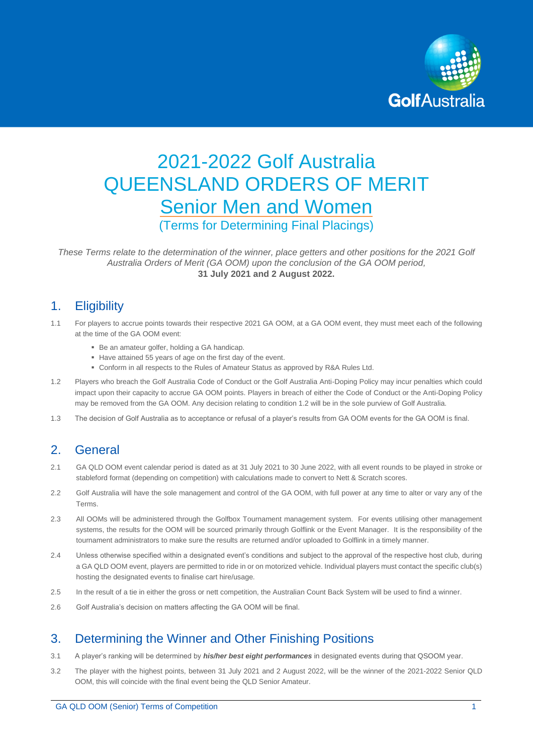

# 2021-2022 Golf Australia QUEENSLAND ORDERS OF MERIT Senior Men and Women (Terms for Determining Final Placings)

*These Terms relate to the determination of the winner, place getters and other positions for the 2021 Golf Australia Orders of Merit (GA OOM) upon the conclusion of the GA OOM period,*  **31 July 2021 and 2 August 2022.**

# 1. Eligibility

- 1.1 For players to accrue points towards their respective 2021 GA OOM, at a GA OOM event, they must meet each of the following at the time of the GA OOM event:
	- Be an amateur golfer, holding a GA handicap.
	- Have attained 55 years of age on the first day of the event.
	- Conform in all respects to the Rules of Amateur Status as approved by R&A Rules Ltd.
- 1.2 Players who breach the Golf Australia Code of Conduct or the Golf Australia Anti-Doping Policy may incur penalties which could impact upon their capacity to accrue GA OOM points. Players in breach of either the Code of Conduct or the Anti-Doping Policy may be removed from the GA OOM. Any decision relating to condition 1.2 will be in the sole purview of Golf Australia.
- 1.3 The decision of Golf Australia as to acceptance or refusal of a player's results from GA OOM events for the GA OOM is final.

# 2. General

- 2.1 GA QLD OOM event calendar period is dated as at 31 July 2021 to 30 June 2022, with all event rounds to be played in stroke or stableford format (depending on competition) with calculations made to convert to Nett & Scratch scores.
- 2.2 Golf Australia will have the sole management and control of the GA OOM, with full power at any time to alter or vary any of the Terms.
- 2.3 All OOMs will be administered through the Golfbox Tournament management system. For events utilising other management systems, the results for the OOM will be sourced primarily through Golflink or the Event Manager. It is the responsibility of the tournament administrators to make sure the results are returned and/or uploaded to Golflink in a timely manner.
- 2.4 Unless otherwise specified within a designated event's conditions and subject to the approval of the respective host club, during a GA QLD OOM event, players are permitted to ride in or on motorized vehicle. Individual players must contact the specific club(s) hosting the designated events to finalise cart hire/usage.
- 2.5 In the result of a tie in either the gross or nett competition, the Australian Count Back System will be used to find a winner.
- 2.6 Golf Australia's decision on matters affecting the GA OOM will be final.

# 3. Determining the Winner and Other Finishing Positions

- 3.1 A player's ranking will be determined by *his/her best eight performances* in designated events during that QSOOM year.
- 3.2 The player with the highest points, between 31 July 2021 and 2 August 2022, will be the winner of the 2021-2022 Senior QLD OOM, this will coincide with the final event being the QLD Senior Amateur.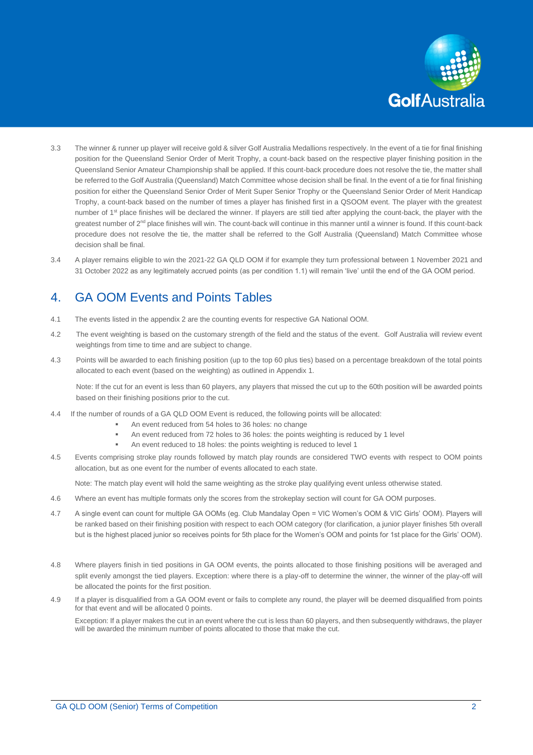

- 3.3 The winner & runner up player will receive gold & silver Golf Australia Medallions respectively. In the event of a tie for final finishing position for the Queensland Senior Order of Merit Trophy, a count-back based on the respective player finishing position in the Queensland Senior Amateur Championship shall be applied. If this count-back procedure does not resolve the tie, the matter shall be referred to the Golf Australia (Queensland) Match Committee whose decision shall be final. In the event of a tie for final finishing position for either the Queensland Senior Order of Merit Super Senior Trophy or the Queensland Senior Order of Merit Handicap Trophy, a count-back based on the number of times a player has finished first in a QSOOM event. The player with the greatest number of 1<sup>st</sup> place finishes will be declared the winner. If players are still tied after applying the count-back, the player with the greatest number of 2<sup>nd</sup> place finishes will win. The count-back will continue in this manner until a winner is found. If this count-back procedure does not resolve the tie, the matter shall be referred to the Golf Australia (Queensland) Match Committee whose decision shall be final.
- 3.4 A player remains eligible to win the 2021-22 GA QLD OOM if for example they turn professional between 1 November 2021 and 31 October 2022 as any legitimately accrued points (as per condition 1.1) will remain 'live' until the end of the GA OOM period.

# 4. GA OOM Events and Points Tables

- 4.1 The events listed in the appendix 2 are the counting events for respective GA National OOM.
- 4.2 The event weighting is based on the customary strength of the field and the status of the event. Golf Australia will review event weightings from time to time and are subject to change.
- 4.3 Points will be awarded to each finishing position (up to the top 60 plus ties) based on a percentage breakdown of the total points allocated to each event (based on the weighting) as outlined in Appendix 1.

Note: If the cut for an event is less than 60 players, any players that missed the cut up to the 60th position will be awarded points based on their finishing positions prior to the cut.

- 4.4If the number of rounds of a GA QLD OOM Event is reduced, the following points will be allocated:
	- An event reduced from 54 holes to 36 holes: no change
	- An event reduced from 72 holes to 36 holes: the points weighting is reduced by 1 level
	- An event reduced to 18 holes: the points weighting is reduced to level 1
- 4.5 Events comprising stroke play rounds followed by match play rounds are considered TWO events with respect to OOM points allocation, but as one event for the number of events allocated to each state.

Note: The match play event will hold the same weighting as the stroke play qualifying event unless otherwise stated.

- 4.6 Where an event has multiple formats only the scores from the strokeplay section will count for GA OOM purposes.
- 4.7 A single event can count for multiple GA OOMs (eg. Club Mandalay Open = VIC Women's OOM & VIC Girls' OOM). Players will be ranked based on their finishing position with respect to each OOM category (for clarification, a junior player finishes 5th overall but is the highest placed junior so receives points for 5th place for the Women's OOM and points for 1st place for the Girls' OOM).
- 4.8 Where players finish in tied positions in GA OOM events, the points allocated to those finishing positions will be averaged and split evenly amongst the tied players. Exception: where there is a play-off to determine the winner, the winner of the play-off will be allocated the points for the first position.
- 4.9 If a player is disqualified from a GA OOM event or fails to complete any round, the player will be deemed disqualified from points for that event and will be allocated 0 points.

Exception: If a player makes the cut in an event where the cut is less than 60 players, and then subsequently withdraws, the player will be awarded the minimum number of points allocated to those that make the cut.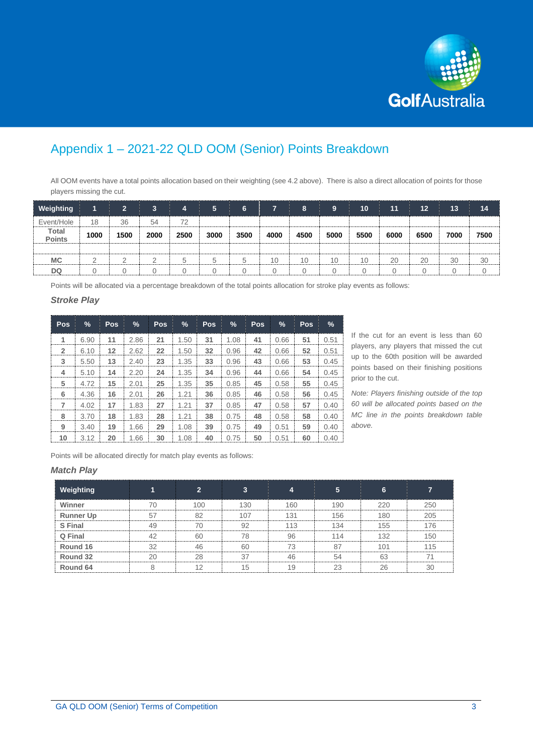

# Appendix 1 – 2021-22 QLD OOM (Senior) Points Breakdown

All OOM events have a total points allocation based on their weighting (see 4.2 above). There is also a direct allocation of points for those players missing the cut.

| <b>Weighting</b>              |          | $\overline{2}$ | $\mathbf{3}$ | 4       | 5    | 6    |      | 8    | 9    | 10   | 11   | 12   | 13   | 14   |
|-------------------------------|----------|----------------|--------------|---------|------|------|------|------|------|------|------|------|------|------|
| Event/Hole                    | 18       | 36             | 54           | 72      |      |      |      |      |      |      |      |      |      |      |
| <b>Total</b><br><b>Points</b> | 1000     | 1500           | 2000         | 2500    | 3000 | 3500 | 4000 | 4500 | 5000 | 5500 | 6000 | 6500 | 7000 | 7500 |
|                               |          |                |              |         |      |      |      |      |      |      |      |      |      |      |
| <b>MC</b>                     | $\Omega$ |                |              | $\circ$ | ∽    | 5.   | 10   | 10   | 10   | 10   | 20   | 20   | 30   | 30   |
| <b>DQ</b>                     |          |                |              | 0       |      |      |      |      |      |      | ∩    |      |      |      |

Points will be allocated via a percentage breakdown of the total points allocation for stroke play events as follows:

#### *Stroke Play*

| Pos            | $\frac{9}{6}$ | Pos | $\%$ | <b>Pos</b> | %    | <b>Pos</b> | %    | Pos | %    | <b>Pos</b> | $\frac{9}{6}$ |
|----------------|---------------|-----|------|------------|------|------------|------|-----|------|------------|---------------|
| 1              | 6.90          | 11  | 2.86 | 21         | 1.50 | 31         | 1.08 | 41  | 0.66 | 51         | 0.51          |
| $\overline{2}$ | 6.10          | 12  | 2.62 | 22         | 1.50 | 32         | 0.96 | 42  | 0.66 | 52         | 0.51          |
| 3              | 5.50          | 13  | 2.40 | 23         | 1.35 | 33         | 0.96 | 43  | 0.66 | 53         | 0.45          |
| 4              | 5.10          | 14  | 2.20 | 24         | 1.35 | 34         | 0.96 | 44  | 0.66 | 54         | 0.45          |
| 5              | 4.72          | 15  | 2.01 | 25         | 1.35 | 35         | 0.85 | 45  | 0.58 | 55         | 0.45          |
| 6              | 4.36          | 16  | 2.01 | 26         | 1.21 | 36         | 0.85 | 46  | 0.58 | 56         | 0.45          |
| 7              | 4.02          | 17  | 1.83 | 27         | 1.21 | 37         | 0.85 | 47  | 0.58 | 57         | 0.40          |
| 8              | 3.70          | 18  | 1.83 | 28         | 1.21 | 38         | 0.75 | 48  | 0.58 | 58         | 0.40          |
| 9              | 3.40          | 19  | 1.66 | 29         | 1.08 | 39         | 0.75 | 49  | 0.51 | 59         | 0.40          |
| 10             | 3.12          | 20  | 1.66 | 30         | 1.08 | 40         | 0.75 | 50  | 0.51 | 60         | 0.40          |

If the cut for an event is less than 60 players, any players that missed the cut up to the 60th position will be awarded points based on their finishing positions prior to the cut.

*Note: Players finishing outside of the top 60 will be allocated points based on the MC line in the points breakdown table above.*

Points will be allocated directly for match play events as follows:

#### *Match Play*

| Weighting        |    | $\overline{\phantom{a}}$ | ∍   |     |        | ∼<br>n |     |
|------------------|----|--------------------------|-----|-----|--------|--------|-----|
| Winner           | 7Λ | 100                      | 130 | 160 | 190    | 220    | 250 |
| <b>Runner Up</b> |    | 82                       | 107 | 131 | 156    | 180    | 205 |
| S Final          | ΛC |                          | Q2  | 113 | 134    | 155    | 176 |
| Q Final          | 42 | 60                       | 78  | 96  | 114    | 132    | 150 |
| Round 16         | 30 | 46                       | 60  | 73  |        | 101    | 115 |
| Round 32         |    | 28                       |     |     |        | 63     |     |
| Round 64         |    | $\Lambda$ $\Omega$       | 15  | 19  | $\cap$ | 26     | 30  |